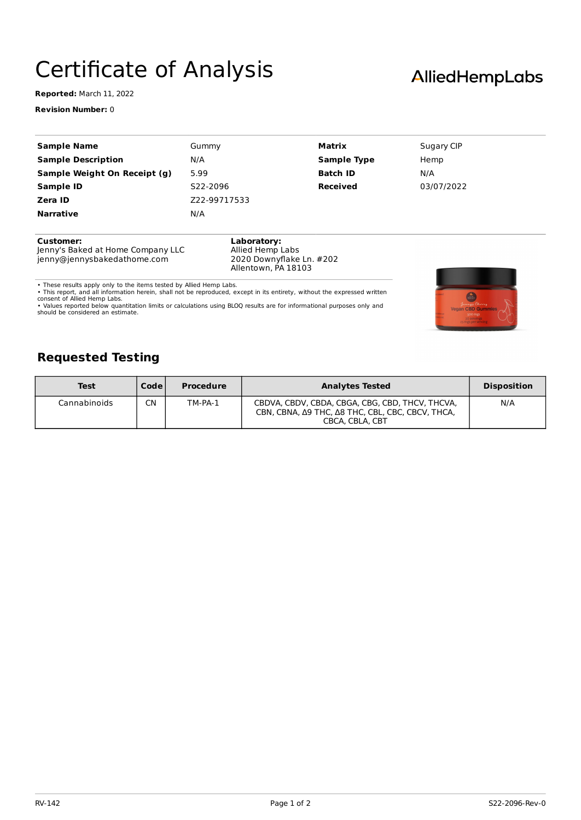## Certificate of Analysis

**Reported:** March 11, 2022

**Revision Number:** 0

| <b>Sample Name</b>           | Gummy        | Matrix             | Sugary CIP |
|------------------------------|--------------|--------------------|------------|
| <b>Sample Description</b>    | N/A          | <b>Sample Type</b> | Hemp       |
| Sample Weight On Receipt (g) | 5.99         | <b>Batch ID</b>    | N/A        |
| <b>Sample ID</b>             | S22-2096     | <b>Received</b>    | 03/07/2022 |
| Zera ID                      | Z22-99717533 |                    |            |
| <b>Narrative</b>             | N/A          |                    |            |
|                              |              |                    |            |
|                              |              |                    |            |

**Customer:**

Jenny's Baked at Home Company LLC jenny@jennysbakedathome.com

**Laboratory:** Allied Hemp Labs 2020 Downyflake Ln. #202 Allentown, PA 18103

• These results apply only to the items tested by Allied Hemp Labs.<br>• This report, and all information herein, shall not be reproduced, except in its entirety, without the expressed written<br>consent of Allied Hemp Labs.<br>• V

should be considered an estimate.



## **Requested Testing**

| <b>Test</b>  | <b>Code</b> | <b>Procedure</b> | <b>Analytes Tested</b>                                                                                                 | <b>Disposition</b> |
|--------------|-------------|------------------|------------------------------------------------------------------------------------------------------------------------|--------------------|
| Cannabinoids | CN          | TM-PA-1          | CBDVA, CBDV, CBDA, CBGA, CBG, CBD, THCV, THCVA,<br>CBN, CBNA, Δ9 THC, Δ8 THC, CBL, CBC, CBCV, THCA,<br>CBCA, CBLA, CBT | N/A                |